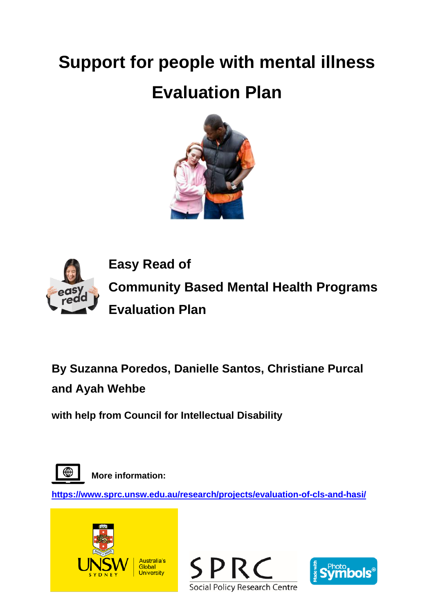# **Support for people with mental illness**

# **Evaluation Plan**





**By Suzanna Poredos, Danielle Santos, Christiane Purcal and Ayah Wehbe**

**with help from Council for Intellectual Disability**



**More information:**

**<https://www.sprc.unsw.edu.au/research/projects/evaluation-of-cls-and-hasi/>**





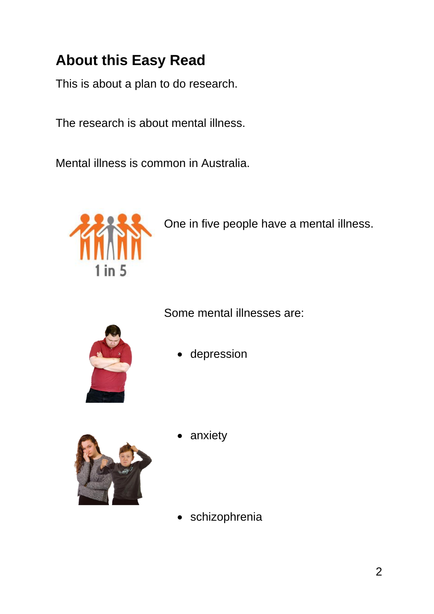## **About this Easy Read**

This is about a plan to do research.

The research is about mental illness.

Mental illness is common in Australia.



One in five people have a mental illness.

Some mental illnesses are:



• depression



anxiety

schizophrenia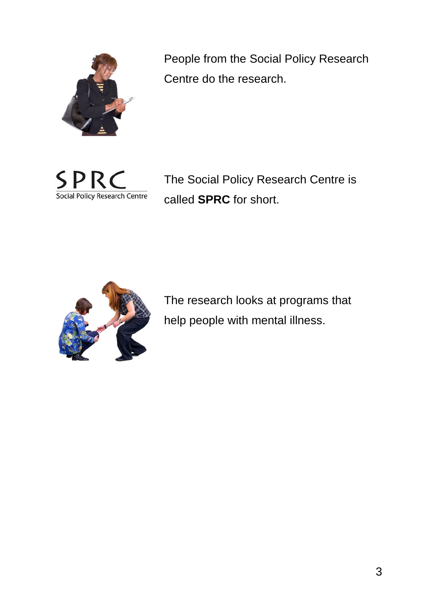

People from the Social Policy Research Centre do the research.



The Social Policy Research Centre is called **SPRC** for short.



The research looks at programs that help people with mental illness.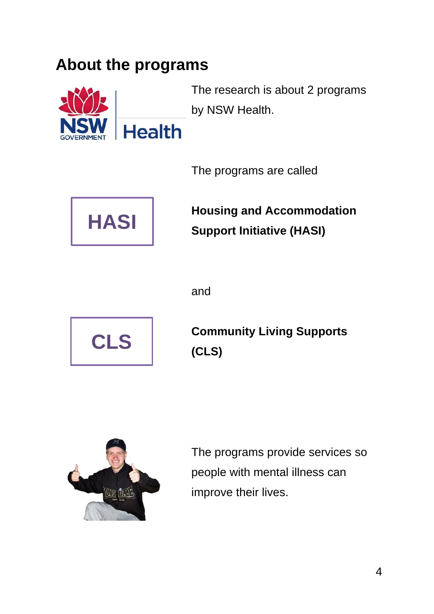### **About the programs**



The research is about 2 programs by NSW Health.

The programs are called



**Housing and Accommodation Support Initiative (HASI)**

and



**Community Living Supports (CLS)**



The programs provide services so people with mental illness can improve their lives.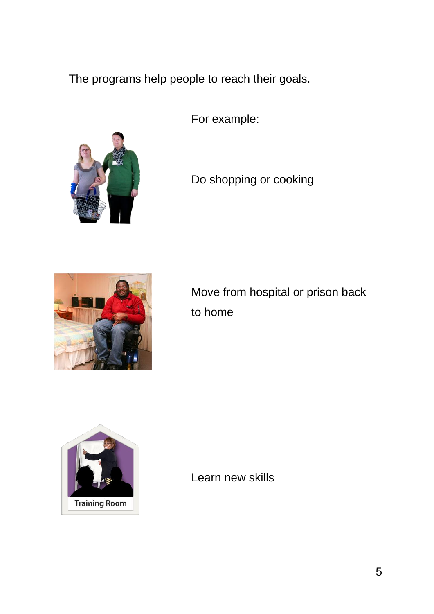The programs help people to reach their goals.

For example:



Do shopping or cooking



Move from hospital or prison back to home



Learn new skills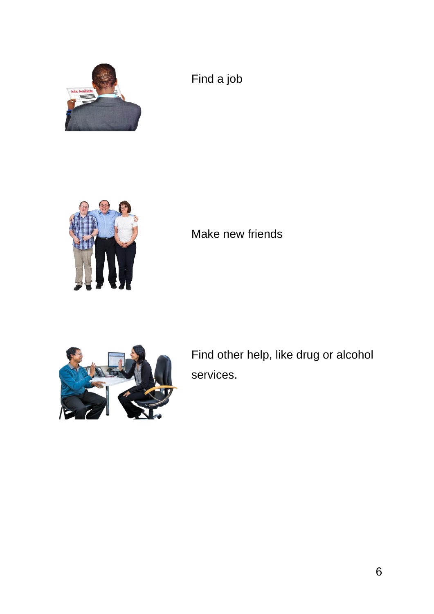

Find a job



Make new friends



Find other help, like drug or alcohol services.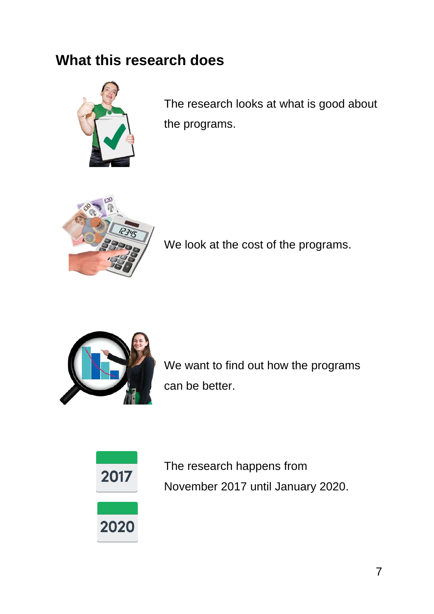### **What this research does**



The research looks at what is good about the programs.



We look at the cost of the programs.



We want to find out how the programs can be better.



The research happens from November 2017 until January 2020.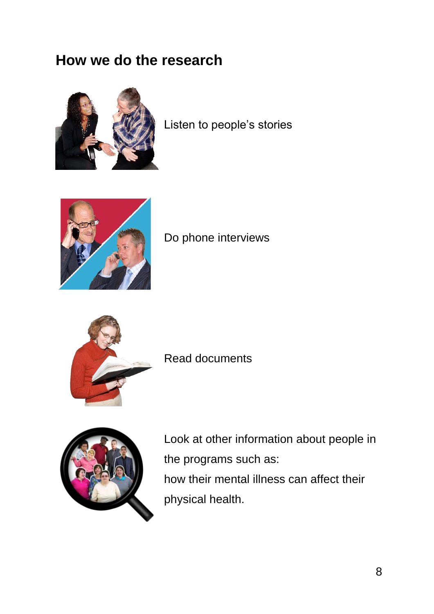#### **How we do the research**



Listen to people's stories



Do phone interviews



Read documents



Look at other information about people in the programs such as: how their mental illness can affect their physical health.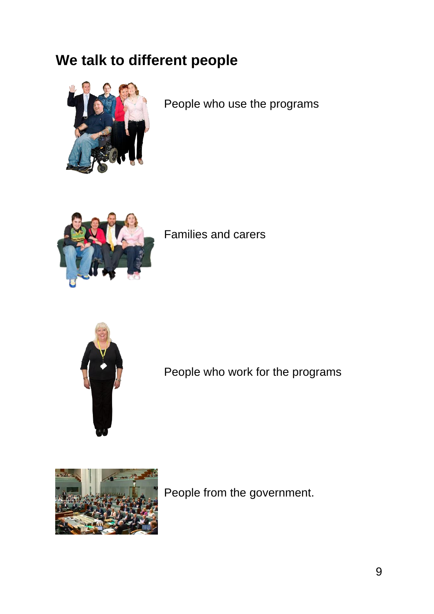### **We talk to different people**



People who use the programs



Families and carers



People who work for the programs



People from the government.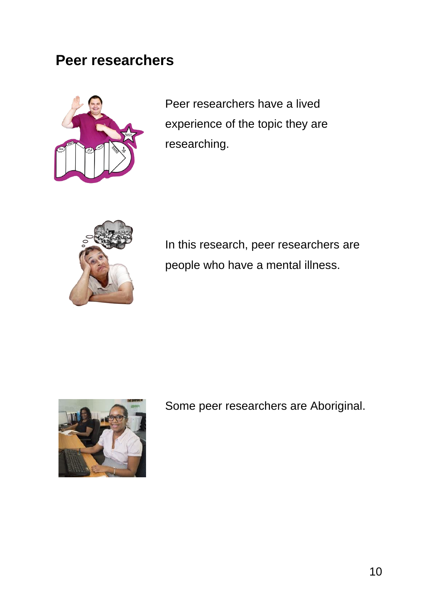#### **Peer researchers**



Peer researchers have a lived experience of the topic they are researching.



In this research, peer researchers are people who have a mental illness.



Some peer researchers are Aboriginal.